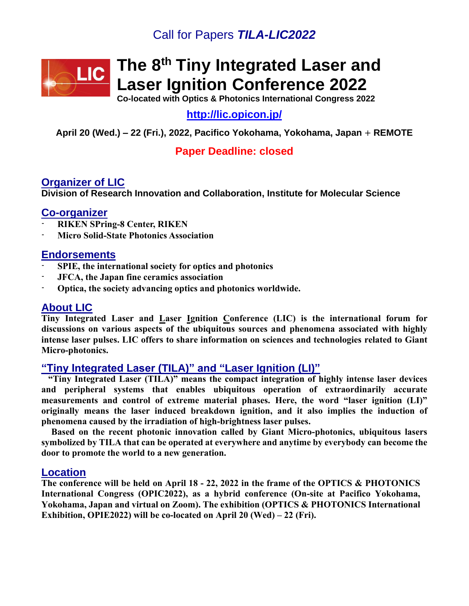## Call for Papers *TILA-LIC2022*



# **The 8 th Tiny Integrated Laser and Laser Ignition Conference 2022**

**Co-located with Optics & Photonics International Congress 2022**

**<http://lic.opicon.jp/>**

**April 20 (Wed.) – 22 (Fri.), 2022, Pacifico Yokohama, Yokohama, Japan** + **REMOTE**

## **Paper Deadline: closed**

## **Organizer of LIC**

**Division of Research Innovation and Collaboration, Institute for Molecular Science**

## **Co-organizer**

- **RIKEN SPring-8 Center, RIKEN**
- **Micro Solid-State Photonics Association**

## **Endorsements**

- **SPIE, the international society for optics and photonics**
- **JFCA, the Japan fine ceramics association**
- **Optica, the society advancing optics and photonics worldwide.**

## **About LIC**

**Tiny Integrated Laser and Laser Ignition Conference (LIC) is the international forum for discussions on various aspects of the ubiquitous sources and phenomena associated with highly intense laser pulses. LIC offers to share information on sciences and technologies related to Giant Micro-photonics.**

## **"Tiny Integrated Laser (TILA)" and "Laser Ignition (LI)"**

 **"Tiny Integrated Laser (TILA)" means the compact integration of highly intense laser devices and peripheral systems that enables ubiquitous operation of extraordinarily accurate measurements and control of extreme material phases. Here, the word "laser ignition (LI)" originally means the laser induced breakdown ignition, and it also implies the induction of phenomena caused by the irradiation of high-brightness laser pulses.**

 **Based on the recent photonic innovation called by Giant Micro-photonics, ubiquitous lasers symbolized by TILA that can be operated at everywhere and anytime by everybody can become the door to promote the world to a new generation.**

## **Location**

**The conference will be held on April 18 - 22, 2022 in the frame of the OPTICS & PHOTONICS International Congress (OPIC2022), as a hybrid conference (On-site at Pacifico Yokohama, Yokohama, Japan and virtual on Zoom). The exhibition (OPTICS & PHOTONICS International Exhibition, OPIE2022) will be co-located on April 20 (Wed) – 22 (Fri).**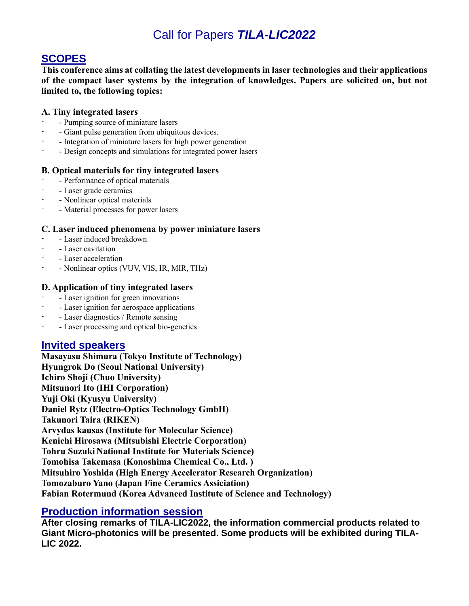## Call for Papers *TILA-LIC2022*

## **SCOPES**

**This conference aims at collating the latest developments in laser technologies and their applications of the compact laser systems by the integration of knowledges. Papers are solicited on, but not limited to, the following topics:**

#### **A. Tiny integrated lasers**

- Pumping source of miniature lasers
- Giant pulse generation from ubiquitous devices.
- Integration of miniature lasers for high power generation
- Design concepts and simulations for integrated power lasers

#### **B. Optical materials for tiny integrated lasers**

- Performance of optical materials
- Laser grade ceramics
- - Nonlinear optical materials
- Material processes for power lasers

#### **C. Laser induced phenomena by power miniature lasers**

- - Laser induced breakdown
- - Laser cavitation
- - Laser acceleration
- - Nonlinear optics (VUV, VIS, IR, MIR, THz)

#### **D. Application of tiny integrated lasers**

- - Laser ignition for green innovations
- Laser ignition for aerospace applications
- - Laser diagnostics / Remote sensing
- Laser processing and optical bio-genetics

## **Invited speakers**

**Masayasu Shimura (Tokyo Institute of Technology) Hyungrok Do (Seoul National University) Ichiro Shoji (Chuo University) Mitsunori Ito (IHI Corporation) Yuji Oki (Kyusyu University) Daniel Rytz (Electro-Optics Technology GmbH) Takunori Taira (RIKEN) Arvydas kausas (Institute for Molecular Science) Kenichi Hirosawa (Mitsubishi Electric Corporation) Tohru Suzuki National Institute for Materials Science) Tomohisa Takemasa (Konoshima Chemical Co., Ltd. ) Mitsuhiro Yoshida (High Energy Accelerator Research Organization) Tomozaburo Yano (Japan Fine Ceramics Assiciation) Fabian Rotermund (Korea Advanced Institute of Science and Technology)**

## **Production information session**

**After closing remarks of TILA-LIC2022, the information commercial products related to Giant Micro-photonics will be presented. Some products will be exhibited during TILA-LIC 2022.**